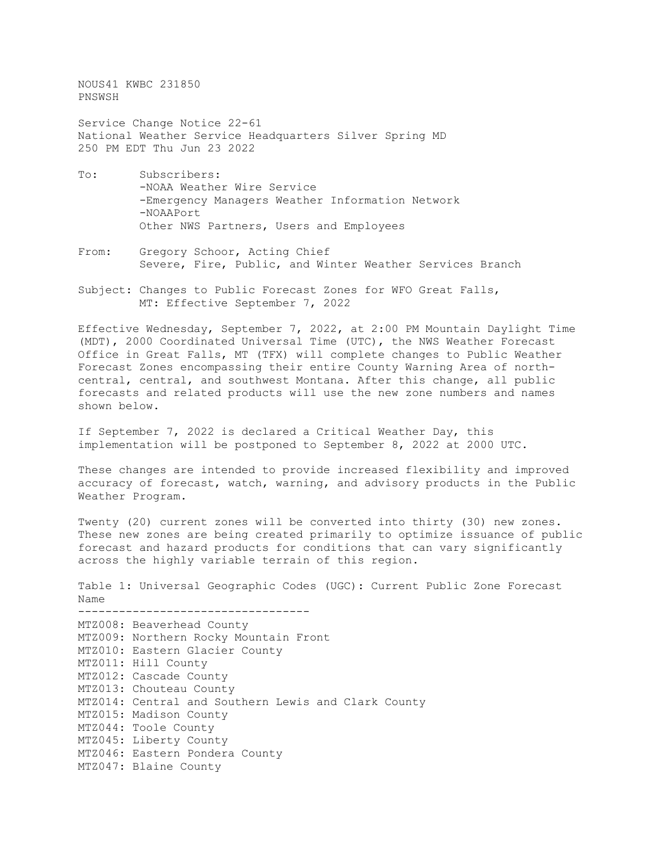NOUS41 KWBC 231850 PNSWSH

Service Change Notice 22-61 National Weather Service Headquarters Silver Spring MD 250 PM EDT Thu Jun 23 2022

- To: Subscribers: -NOAA Weather Wire Service -Emergency Managers Weather Information Network -NOAAPort Other NWS Partners, Users and Employees
- From: Gregory Schoor, Acting Chief Severe, Fire, Public, and Winter Weather Services Branch
- Subject: Changes to Public Forecast Zones for WFO Great Falls, MT: Effective September 7, 2022

Effective Wednesday, September 7, 2022, at 2:00 PM Mountain Daylight Time (MDT), 2000 Coordinated Universal Time (UTC), the NWS Weather Forecast Office in Great Falls, MT (TFX) will complete changes to Public Weather Forecast Zones encompassing their entire County Warning Area of northcentral, central, and southwest Montana. After this change, all public forecasts and related products will use the new zone numbers and names shown below.

If September 7, 2022 is declared a Critical Weather Day, this implementation will be postponed to September 8, 2022 at 2000 UTC.

These changes are intended to provide increased flexibility and improved accuracy of forecast, watch, warning, and advisory products in the Public Weather Program.

Twenty (20) current zones will be converted into thirty (30) new zones. These new zones are being created primarily to optimize issuance of public forecast and hazard products for conditions that can vary significantly across the highly variable terrain of this region.

Table 1: Universal Geographic Codes (UGC): Current Public Zone Forecast Name

---------------------------------- MTZ008: Beaverhead County MTZ009: Northern Rocky Mountain Front MTZ010: Eastern Glacier County MTZ011: Hill County MTZ012: Cascade County MTZ013: Chouteau County MTZ014: Central and Southern Lewis and Clark County MTZ015: Madison County MTZ044: Toole County MTZ045: Liberty County MTZ046: Eastern Pondera County MTZ047: Blaine County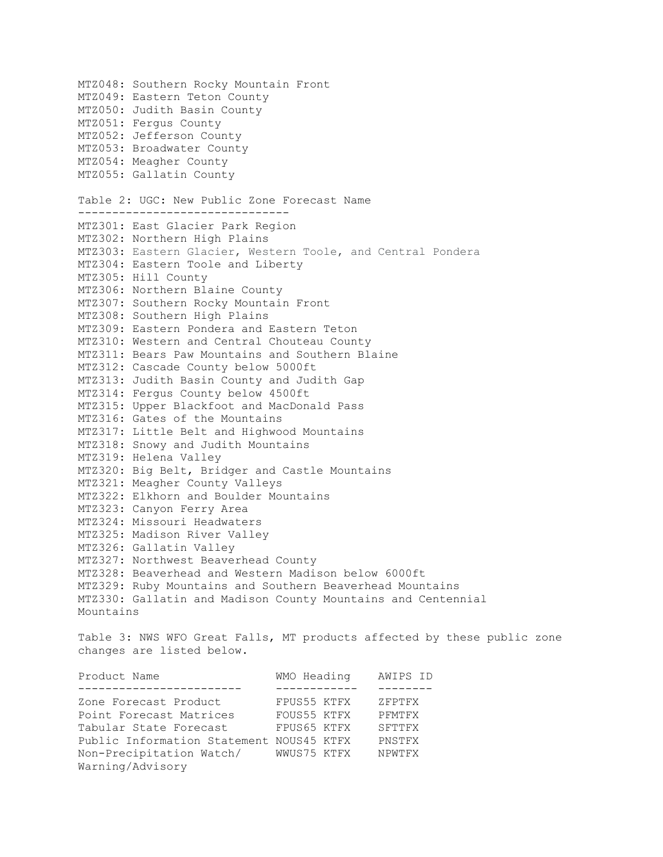MTZ048: Southern Rocky Mountain Front MTZ049: Eastern Teton County MTZ050: Judith Basin County MTZ051: Fergus County MTZ052: Jefferson County MTZ053: Broadwater County MTZ054: Meagher County MTZ055: Gallatin County Table 2: UGC: New Public Zone Forecast Name ------------------------------- MTZ301: East Glacier Park Region MTZ302: Northern High Plains MTZ303: Eastern Glacier, Western Toole, and Central Pondera MTZ304: Eastern Toole and Liberty MTZ305: Hill County MTZ306: Northern Blaine County MTZ307: Southern Rocky Mountain Front MTZ308: Southern High Plains MTZ309: Eastern Pondera and Eastern Teton MTZ310: Western and Central Chouteau County MTZ311: Bears Paw Mountains and Southern Blaine MTZ312: Cascade County below 5000ft MTZ313: Judith Basin County and Judith Gap MTZ314: Fergus County below 4500ft MTZ315: Upper Blackfoot and MacDonald Pass MTZ316: Gates of the Mountains MTZ317: Little Belt and Highwood Mountains MTZ318: Snowy and Judith Mountains MTZ319: Helena Valley MTZ320: Big Belt, Bridger and Castle Mountains MTZ321: Meagher County Valleys MTZ322: Elkhorn and Boulder Mountains MTZ323: Canyon Ferry Area MTZ324: Missouri Headwaters MTZ325: Madison River Valley MTZ326: Gallatin Valley MTZ327: Northwest Beaverhead County MTZ328: Beaverhead and Western Madison below 6000ft MTZ329: Ruby Mountains and Southern Beaverhead Mountains MTZ330: Gallatin and Madison County Mountains and Centennial Mountains Table 3: NWS WFO Great Falls, MT products affected by these public zone changes are listed below. Product Name WMO Heading AWIPS ID ------------------------<br>Zone Forecast Product FPUS55 KTFX ZFPTFX<br>FOUS55 KTFX PFMTFX Point Forecast Matrices FOUS55 KTFX PFMTFX Tabular State Forecast FPUS65 KTFX SFTTFX Public Information Statement NOUS45 KTFX PNSTFX Non-Precipitation Watch/ WWUS75 KTFX NPWTFX Warning/Advisory